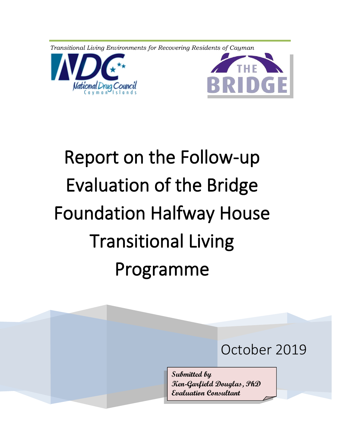*Transitional Living Environments for Recovering Residents of Cayman*





# Report on the Follow-up Evaluation of the Bridge Foundation Halfway House Transitional Living Programme

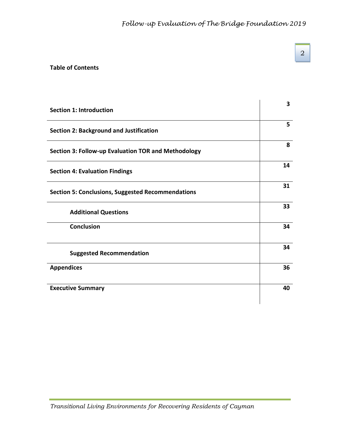# **Table of Contents**

| <b>Section 1: Introduction</b>                           | 3  |
|----------------------------------------------------------|----|
| <b>Section 2: Background and Justification</b>           | 5  |
| Section 3: Follow-up Evaluation TOR and Methodology      | 8  |
| <b>Section 4: Evaluation Findings</b>                    | 14 |
| <b>Section 5: Conclusions, Suggested Recommendations</b> | 31 |
| <b>Additional Questions</b>                              | 33 |
| <b>Conclusion</b>                                        | 34 |
| <b>Suggested Recommendation</b>                          | 34 |
| <b>Appendices</b>                                        | 36 |
| <b>Executive Summary</b>                                 | 40 |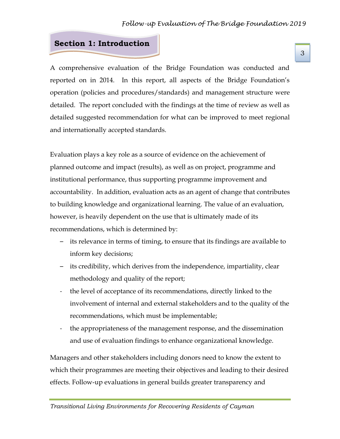# **Section 1: Introduction**

A comprehensive evaluation of the Bridge Foundation was conducted and reported on in 2014. In this report, all aspects of the Bridge Foundation's operation (policies and procedures/standards) and management structure were detailed. The report concluded with the findings at the time of review as well as detailed suggested recommendation for what can be improved to meet regional and internationally accepted standards.

Evaluation plays a key role as a source of evidence on the achievement of planned outcome and impact (results), as well as on project, programme and institutional performance, thus supporting programme improvement and accountability. In addition, evaluation acts as an agent of change that contributes to building knowledge and organizational learning. The value of an evaluation, however, is heavily dependent on the use that is ultimately made of its recommendations, which is determined by:

- its relevance in terms of timing, to ensure that its findings are available to inform key decisions;
- its credibility, which derives from the independence, impartiality, clear methodology and quality of the report;
- the level of acceptance of its recommendations, directly linked to the involvement of internal and external stakeholders and to the quality of the recommendations, which must be implementable;
- the appropriateness of the management response, and the dissemination and use of evaluation findings to enhance organizational knowledge.

Managers and other stakeholders including donors need to know the extent to which their programmes are meeting their objectives and leading to their desired effects. Follow-up evaluations in general builds greater transparency and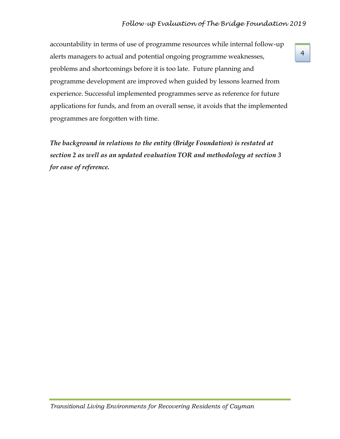# *Follow-up Evaluation of The Bridge Foundation 2019*

4

accountability in terms of use of programme resources while internal follow-up alerts managers to actual and potential ongoing programme weaknesses, problems and shortcomings before it is too late. Future planning and programme development are improved when guided by lessons learned from experience. Successful implemented programmes serve as reference for future applications for funds, and from an overall sense, it avoids that the implemented programmes are forgotten with time.

*The background in relations to the entity (Bridge Foundation) is restated at section 2 as well as an updated evaluation TOR and methodology at section 3 for ease of reference.*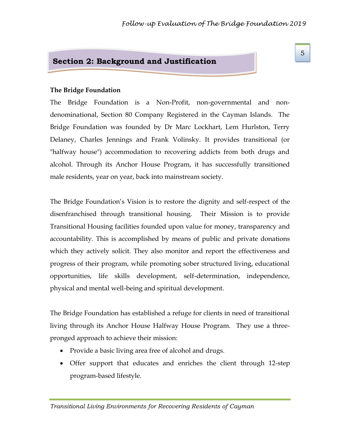# **Section 2: Background and Justification**

#### **The Bridge Foundation**

The Bridge Foundation is a Non-Profit, non-governmental and nondenominational, Section 80 Company Registered in the Cayman Islands. The Bridge Foundation was founded by Dr Marc Lockhart, Lem Hurlston, Terry Delaney, Charles Jennings and Frank Volinsky. It provides transitional (or "halfway house") accommodation to recovering addicts from both drugs and alcohol. Through its Anchor House Program, it has successfully transitioned male residents, year on year, back into mainstream society.

The Bridge Foundation's Vision is to restore the dignity and self-respect of the disenfranchised through transitional housing. Their Mission is to provide Transitional Housing facilities founded upon value for money, transparency and accountability. This is accomplished by means of public and private donations which they actively solicit. They also monitor and report the effectiveness and progress of their program, while promoting sober structured living, educational opportunities, life skills development, self-determination, independence, physical and mental well-being and spiritual development.

The Bridge Foundation has established a refuge for clients in need of transitional living through its Anchor House Halfway House Program. They use a threepronged approach to achieve their mission:

- Provide a basic living area free of alcohol and drugs.
- Offer support that educates and enriches the client through 12-step program-based lifestyle.

*Transitional Living Environments for Recovering Residents of Cayman*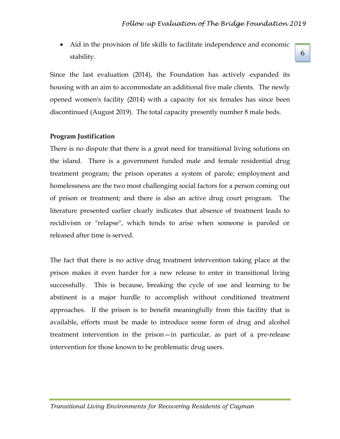• Aid in the provision of life skills to facilitate independence and economic stability.

Since the last evaluation (2014), the Foundation has actively expanded its housing with an aim to accommodate an additional five male clients. The newly opened women's facility (2014) with a capacity for six females has since been discontinued (August 2019). The total capacity presently number 8 male beds.

#### **Program Justification**

There is no dispute that there is a great need for transitional living solutions on the island. There is a government funded male and female residential drug treatment program; the prison operates a system of parole; employment and homelessness are the two most challenging social factors for a person coming out of prison or treatment; and there is also an active drug court program. The literature presented earlier clearly indicates that absence of treatment leads to recidivism or "relapse", which tends to arise when someone is paroled or released after time is served.

The fact that there is no active drug treatment intervention taking place at the prison makes it even harder for a new release to enter in transitional living successfully. This is because, breaking the cycle of use and learning to be abstinent is a major hurdle to accomplish without conditioned treatment approaches. If the prison is to benefit meaningfully from this facility that is available, efforts must be made to introduce some form of drug and alcohol treatment intervention in the prison—in particular, as part of a pre-release intervention for those known to be problematic drug users.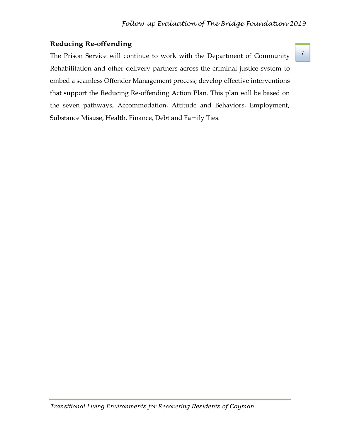7

#### **Reducing Re-offending**

The Prison Service will continue to work with the Department of Community Rehabilitation and other delivery partners across the criminal justice system to embed a seamless Offender Management process; develop effective interventions that support the Reducing Re-offending Action Plan. This plan will be based on the seven pathways, Accommodation, Attitude and Behaviors, Employment, Substance Misuse, Health, Finance, Debt and Family Ties.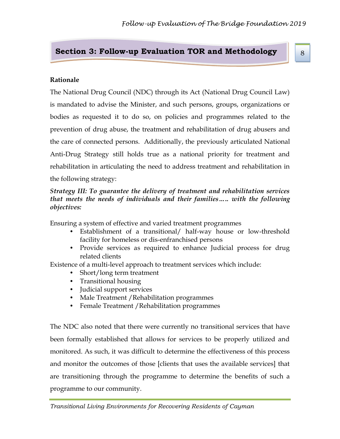# **Section 3: Follow-up Evaluation TOR and Methodology**

### **Rationale**

The National Drug Council (NDC) through its Act (National Drug Council Law) is mandated to advise the Minister, and such persons, groups, organizations or bodies as requested it to do so, on policies and programmes related to the prevention of drug abuse, the treatment and rehabilitation of drug abusers and the care of connected persons. Additionally, the previously articulated National Anti-Drug Strategy still holds true as a national priority for treatment and rehabilitation in articulating the need to address treatment and rehabilitation in the following strategy:

## *Strategy III: To guarantee the delivery of treatment and rehabilitation services that meets the needs of individuals and their families….. with the following objectives:*

Ensuring a system of effective and varied treatment programmes

- Establishment of a transitional/ half-way house or low-threshold facility for homeless or dis-enfranchised persons
- Provide services as required to enhance Judicial process for drug related clients

Existence of a multi-level approach to treatment services which include:

- Short/long term treatment
- Transitional housing
- Judicial support services
- Male Treatment / Rehabilitation programmes
- Female Treatment /Rehabilitation programmes

The NDC also noted that there were currently no transitional services that have been formally established that allows for services to be properly utilized and monitored. As such, it was difficult to determine the effectiveness of this process and monitor the outcomes of those [clients that uses the available services] that are transitioning through the programme to determine the benefits of such a programme to our community.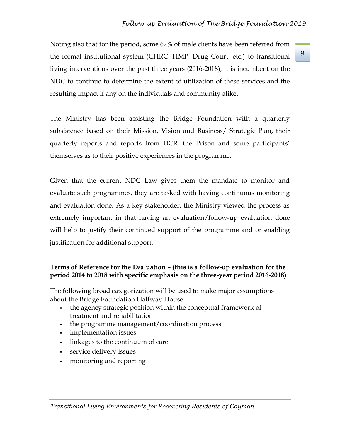# *Follow-up Evaluation of The Bridge Foundation 2019*

Noting also that for the period, some 62% of male clients have been referred from the formal institutional system (CHRC, HMP, Drug Court, etc.) to transitional living interventions over the past three years (2016-2018), it is incumbent on the NDC to continue to determine the extent of utilization of these services and the resulting impact if any on the individuals and community alike.

The Ministry has been assisting the Bridge Foundation with a quarterly subsistence based on their Mission, Vision and Business/ Strategic Plan, their quarterly reports and reports from DCR, the Prison and some participants' themselves as to their positive experiences in the programme.

Given that the current NDC Law gives them the mandate to monitor and evaluate such programmes, they are tasked with having continuous monitoring and evaluation done. As a key stakeholder, the Ministry viewed the process as extremely important in that having an evaluation/follow-up evaluation done will help to justify their continued support of the programme and or enabling justification for additional support.

#### **Terms of Reference for the Evaluation – (this is a follow-up evaluation for the period 2014 to 2018 with specific emphasis on the three-year period 2016-2018)**

The following broad categorization will be used to make major assumptions about the Bridge Foundation Halfway House:

- the agency strategic position within the conceptual framework of treatment and rehabilitation
- the programme management/coordination process
- **•** implementation issues
- linkages to the continuum of care
- **•** service delivery issues
- monitoring and reporting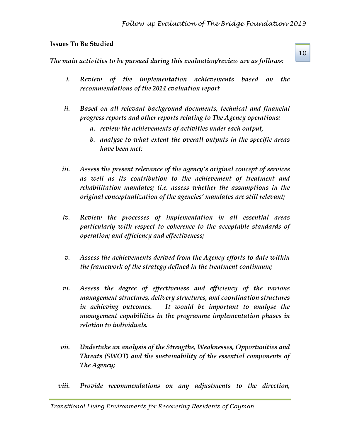#### **Issues To Be Studied**

*The main activities to be pursued during this evaluation/review are as follows:*

- *i. Review of the implementation achievements based on the recommendations of the 2014 evaluation report*
- *ii. Based on all relevant background documents, technical and financial progress reports and other reports relating to The Agency operations:*
	- *a. review the achievements of activities under each output,*
	- *b. analyse to what extent the overall outputs in the specific areas have been met;*
- *iii. Assess the present relevance of the agency's original concept of services as well as its contribution to the achievement of treatment and rehabilitation mandates; (i.e. assess whether the assumptions in the original conceptualization of the agencies' mandates are still relevant;*
- *iv. Review the processes of implementation in all essential areas particularly with respect to coherence to the acceptable standards of operation; and efficiency and effectiveness;*
- *v. Assess the achievements derived from the Agency efforts to date within the framework of the strategy defined in the treatment continuum;*
- *vi. Assess the degree of effectiveness and efficiency of the various management structures, delivery structures, and coordination structures in achieving outcomes. It would be important to analyse the management capabilities in the programme implementation phases in relation to individuals.*
- *vii. Undertake an analysis of the Strengths, Weaknesses, Opportunities and Threats (SWOT) and the sustainability of the essential components of The Agency;*
- *viii. Provide recommendations on any adjustments to the direction,*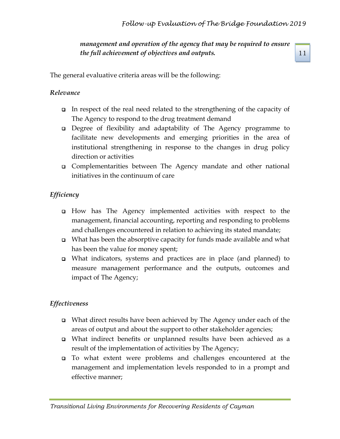*management and operation of the agency that may be required to ensure the full achievement of objectives and outputs.*

11

The general evaluative criteria areas will be the following:

# *Relevance*

- ❑ In respect of the real need related to the strengthening of the capacity of The Agency to respond to the drug treatment demand
- ❑ Degree of flexibility and adaptability of The Agency programme to facilitate new developments and emerging priorities in the area of institutional strengthening in response to the changes in drug policy direction or activities
- ❑ Complementarities between The Agency mandate and other national initiatives in the continuum of care

# *Efficiency*

- ❑ How has The Agency implemented activities with respect to the management, financial accounting, reporting and responding to problems and challenges encountered in relation to achieving its stated mandate;
- ❑ What has been the absorptive capacity for funds made available and what has been the value for money spent;
- ❑ What indicators, systems and practices are in place (and planned) to measure management performance and the outputs, outcomes and impact of The Agency;

# *Effectiveness*

- ❑ What direct results have been achieved by The Agency under each of the areas of output and about the support to other stakeholder agencies;
- ❑ What indirect benefits or unplanned results have been achieved as a result of the implementation of activities by The Agency;
- ❑ To what extent were problems and challenges encountered at the management and implementation levels responded to in a prompt and effective manner;

*Transitional Living Environments for Recovering Residents of Cayman*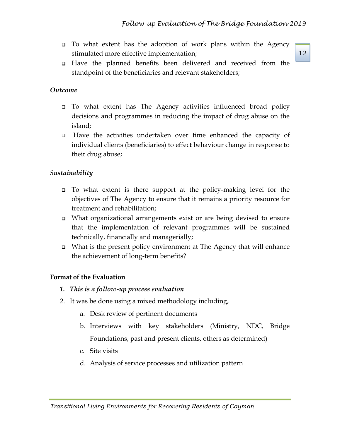- ❑ To what extent has the adoption of work plans within the Agency stimulated more effective implementation;
- ❑ Have the planned benefits been delivered and received from the standpoint of the beneficiaries and relevant stakeholders;

# *Outcome*

- ❑ To what extent has The Agency activities influenced broad policy decisions and programmes in reducing the impact of drug abuse on the island;
- ❑ Have the activities undertaken over time enhanced the capacity of individual clients (beneficiaries) to effect behaviour change in response to their drug abuse;

# *Sustainability*

- ❑ To what extent is there support at the policy-making level for the objectives of The Agency to ensure that it remains a priority resource for treatment and rehabilitation;
- ❑ What organizational arrangements exist or are being devised to ensure that the implementation of relevant programmes will be sustained technically, financially and managerially;
- ❑ What is the present policy environment at The Agency that will enhance the achievement of long-term benefits?

# **Format of the Evaluation**

- *1. This is a follow-up process evaluation*
- 2. It was be done using a mixed methodology including,
	- a. Desk review of pertinent documents
	- b. Interviews with key stakeholders (Ministry, NDC, Bridge Foundations, past and present clients, others as determined)
	- c. Site visits
	- d. Analysis of service processes and utilization pattern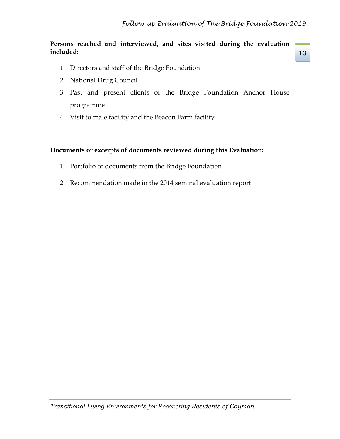## **Persons reached and interviewed, and sites visited during the evaluation included:**

13

- 1. Directors and staff of the Bridge Foundation
- 2. National Drug Council
- 3. Past and present clients of the Bridge Foundation Anchor House programme
- 4. Visit to male facility and the Beacon Farm facility

## **Documents or excerpts of documents reviewed during this Evaluation:**

- 1. Portfolio of documents from the Bridge Foundation
- 2. Recommendation made in the 2014 seminal evaluation report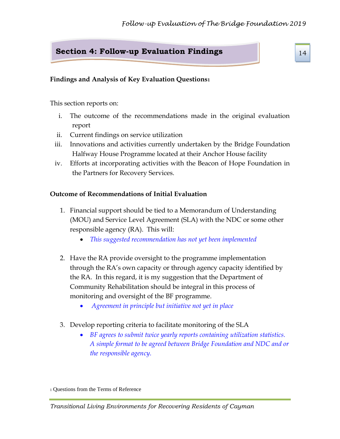# **Section 4: Follow-up Evaluation Findings**

# **Findings and Analysis of Key Evaluation Questions<sup>1</sup>**

This section reports on:

- i. The outcome of the recommendations made in the original evaluation report
- ii. Current findings on service utilization
- iii. Innovations and activities currently undertaken by the Bridge Foundation Halfway House Programme located at their Anchor House facility
- iv. Efforts at incorporating activities with the Beacon of Hope Foundation in the Partners for Recovery Services.

## **Outcome of Recommendations of Initial Evaluation**

- 1. Financial support should be tied to a Memorandum of Understanding (MOU) and Service Level Agreement (SLA) with the NDC or some other responsible agency (RA). This will:
	- *This suggested recommendation has not yet been implemented*
- 2. Have the RA provide oversight to the programme implementation through the RA's own capacity or through agency capacity identified by the RA. In this regard, it is my suggestion that the Department of Community Rehabilitation should be integral in this process of monitoring and oversight of the BF programme.
	- *Agreement in principle but initiative not yet in place*
- 3. Develop reporting criteria to facilitate monitoring of the SLA
	- *BF agrees to submit twice yearly reports containing utilization statistics. A simple format to be agreed between Bridge Foundation and NDC and or the responsible agency.*

<sup>1</sup> Questions from the Terms of Reference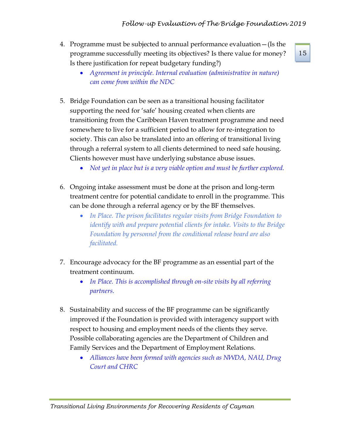- 4. Programme must be subjected to annual performance evaluation—(Is the programme successfully meeting its objectives? Is there value for money? Is there justification for repeat budgetary funding?)
	- *Agreement in principle. Internal evaluation (administrative in nature) can come from within the NDC*
- 5. Bridge Foundation can be seen as a transitional housing facilitator supporting the need for 'safe' housing created when clients are transitioning from the Caribbean Haven treatment programme and need somewhere to live for a sufficient period to allow for re-integration to society. This can also be translated into an offering of transitional living through a referral system to all clients determined to need safe housing. Clients however must have underlying substance abuse issues.
	- *Not yet in place but is a very viable option and must be further explored.*
- 6. Ongoing intake assessment must be done at the prison and long-term treatment centre for potential candidate to enroll in the programme. This can be done through a referral agency or by the BF themselves.
	- *In Place. The prison facilitates regular visits from Bridge Foundation to identify with and prepare potential clients for intake. Visits to the Bridge Foundation by personnel from the conditional release board are also facilitated.*
- 7. Encourage advocacy for the BF programme as an essential part of the treatment continuum.
	- *In Place. This is accomplished through on-site visits by all referring partners.*
- 8. Sustainability and success of the BF programme can be significantly improved if the Foundation is provided with interagency support with respect to housing and employment needs of the clients they serve. Possible collaborating agencies are the Department of Children and Family Services and the Department of Employment Relations.
	- *Alliances have been formed with agencies such as NWDA, NAU, Drug Court and CHRC*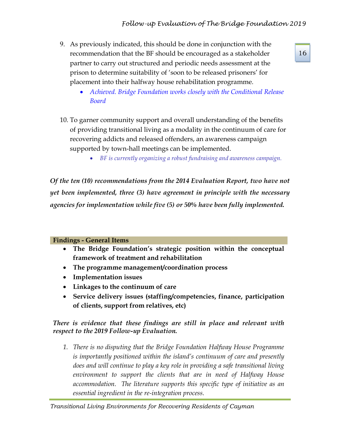- 9. As previously indicated, this should be done in conjunction with the recommendation that the BF should be encouraged as a stakeholder partner to carry out structured and periodic needs assessment at the prison to determine suitability of 'soon to be released prisoners' for placement into their halfway house rehabilitation programme.
	- *Achieved. Bridge Foundation works closely with the Conditional Release Board*
- 10. To garner community support and overall understanding of the benefits of providing transitional living as a modality in the continuum of care for recovering addicts and released offenders, an awareness campaign supported by town-hall meetings can be implemented.
	- *BF is currently organizing a robust fundraising and awareness campaign.*

*Of the ten (10) recommendations from the 2014 Evaluation Report, two have not yet been implemented, three (3) have agreement in principle with the necessary agencies for implementation while five (5) or 50% have been fully implemented.*

#### **Findings - General Items**

- **The Bridge Foundation's strategic position within the conceptual framework of treatment and rehabilitation**
- **The programme management/coordination process**
- **Implementation issues**
- **Linkages to the continuum of care**
- **Service delivery issues (staffing/competencies, finance, participation of clients, support from relatives, etc)**

## *There is evidence that these findings are still in place and relevant with respect to the 2019 Follow-up Evaluation.*

*1. There is no disputing that the Bridge Foundation Halfway House Programme is importantly positioned within the island's continuum of care and presently does and will continue to play a key role in providing a safe transitional living environment to support the clients that are in need of Halfway House accommodation. The literature supports this specific type of initiative as an essential ingredient in the re-integration process.*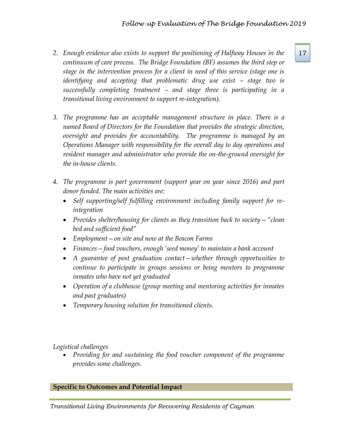- *2. Enough evidence also exists to support the positioning of Halfway Houses in the* 17 *continuum of care process. The Bridge Foundation (BF) assumes the third step or stage in the intervention process for a client in need of this service (stage one is identifying and accepting that problematic drug use exist – stage two is successfully completing treatment – and stage three is participating in a transitional living environment to support re-integration).*
- *3. The programme has an acceptable management structure in place. There is a named Board of Directors for the Foundation that provides the strategic direction, oversight and provides for accountability. The programme is managed by an Operations Manager with responsibility for the overall day to day operations and resident manager and administrator who provide the on-the-ground oversight for the in-house clients.*
- *4. The programme is part government (support year on year since 2016) and part donor funded. The main activities are:*
	- *Self supporting/self fulfilling environment including family support for reintegration*
	- *Provides shelter/housing for clients as they transition back to society "clean bed and sufficient food"*
	- *Employment—on site and now at the Beacon Farms*
	- *Finances—food vouchers, enough 'seed money' to maintain a bank account*
	- *A guarantee of post graduation contact—whether through opportunities to continue to participate in groups sessions or being mentors to programme inmates who have not yet graduated*
	- *Operation of a clubhouse (group meeting and mentoring activities for inmates and past graduates)*
	- *Temporary housing solution for transitioned clients.*

*Logistical challenges*

• *Providing for and sustaining the food voucher component of the programme provides some challenges.*

**Specific to Outcomes and Potential Impact**

*Transitional Living Environments for Recovering Residents of Cayman*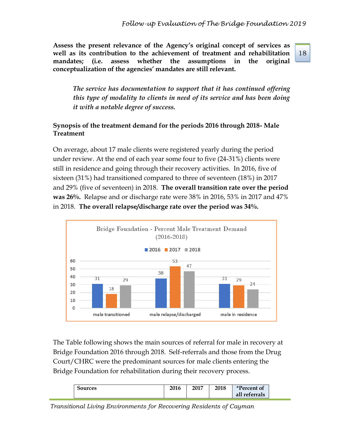**Assess the present relevance of the Agency's original concept of services as well as its contribution to the achievement of treatment and rehabilitation mandates; (i.e. assess whether the assumptions in the original conceptualization of the agencies' mandates are still relevant.**

*The service has documentation to support that it has continued offering this type of modality to clients in need of its service and has been doing it with a notable degree of success.* 

# **Synopsis of the treatment demand for the periods 2016 through 2018- Male Treatment**

On average, about 17 male clients were registered yearly during the period under review. At the end of each year some four to five (24-31%) clients were still in residence and going through their recovery activities. In 2016, five of sixteen (31%) had transitioned compared to three of seventeen (18%) in 2017 and 29% (five of seventeen) in 2018. **The overall transition rate over the period was 26%.** Relapse and or discharge rate were 38% in 2016, 53% in 2017 and 47% in 2018. **The overall relapse/discharge rate over the period was 34%.** 



The Table following shows the main sources of referral for male in recovery at Bridge Foundation 2016 through 2018. Self-referrals and those from the Drug Court/CHRC were the predominant sources for male clients entering the Bridge Foundation for rehabilitation during their recovery process.

| oources | 2016 | 2017 | 2018 | <i>*Percent of</i> |
|---------|------|------|------|--------------------|
|         |      |      |      | all<br>referrals   |

*Transitional Living Environments for Recovering Residents of Cayman*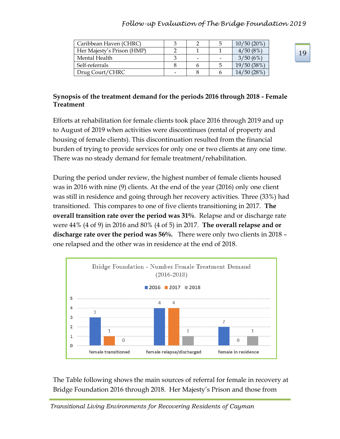# *Follow-up Evaluation of The Bridge Foundation 2019*

| Caribbean Haven (CHRC)     |   | b | $10/50(20\%)$ |
|----------------------------|---|---|---------------|
| Her Majesty's Prison (HMP) |   |   | 4/50(8%)      |
| Mental Health              | - |   | 3/50(6%)      |
| Self-referrals             |   | C | 19/50 (38%)   |
| Drug Court/CHRC            |   |   | 14/50(28%)    |

### **Synopsis of the treatment demand for the periods 2016 through 2018 - Female Treatment**

Efforts at rehabilitation for female clients took place 2016 through 2019 and up to August of 2019 when activities were discontinues (rental of property and housing of female clients). This discontinuation resulted from the financial burden of trying to provide services for only one or two clients at any one time. There was no steady demand for female treatment/rehabilitation.

During the period under review, the highest number of female clients housed was in 2016 with nine (9) clients. At the end of the year (2016) only one client was still in residence and going through her recovery activities. Three (33%) had transitioned. This compares to one of five clients transitioning in 2017. **The overall transition rate over the period was 31%**. Relapse and or discharge rate were 44% (4 of 9) in 2016 and 80% (4 of 5) in 2017. **The overall relapse and or discharge rate over the period was 56%.** There were only two clients in 2018 – one relapsed and the other was in residence at the end of 2018.



The Table following shows the main sources of referral for female in recovery at Bridge Foundation 2016 through 2018. Her Majesty's Prison and those from

*Transitional Living Environments for Recovering Residents of Cayman*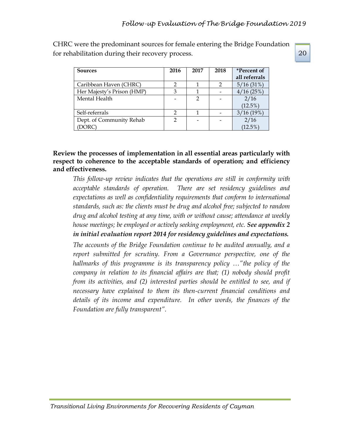CHRC were the predominant sources for female entering the Bridge Foundation for rehabilitation during their recovery process.

| <b>Sources</b>             | 2016           | 2017          | 2018          | <i>*Percent of</i> |  |
|----------------------------|----------------|---------------|---------------|--------------------|--|
|                            |                |               |               | all referrals      |  |
| Caribbean Haven (CHRC)     | $\mathfrak{p}$ |               | $\mathcal{P}$ | 5/16(31%)          |  |
| Her Majesty's Prison (HMP) | 3              |               |               | $4/16(25\%)$       |  |
| Mental Health              |                | $\mathcal{D}$ |               | 2/16               |  |
|                            |                |               |               | $(12.5\%)$         |  |
| Self-referrals             | 7              |               |               | 3/16(19%)          |  |
| Dept. of Community Rehab   | $\mathfrak{D}$ |               |               | 2/16               |  |
| (DORC)                     |                |               |               | $(12.5\%)$         |  |

# **Review the processes of implementation in all essential areas particularly with respect to coherence to the acceptable standards of operation; and efficiency and effectiveness.**

*This follow-up review indicates that the operations are still in conformity with acceptable standards of operation. There are set residency guidelines and expectations as well as confidentiality requirements that conform to international standards, such as: the clients must be drug and alcohol free; subjected to random drug and alcohol testing at any time, with or without cause; attendance at weekly house meetings; be employed or actively seeking employment, etc. See appendix 2 in initial evaluation report 2014 for residency guidelines and expectations.*

*The accounts of the Bridge Foundation continue to be audited annually, and a report submitted for scrutiny. From a Governance perspective, one of the hallmarks of this programme is its transparency policy …"the policy of the company in relation to its financial affairs are that; (1) nobody should profit from its activities, and (2) interested parties should be entitled to see, and if necessary have explained to them its then-current financial conditions and details of its income and expenditure. In other words, the finances of the Foundation are fully transparent".*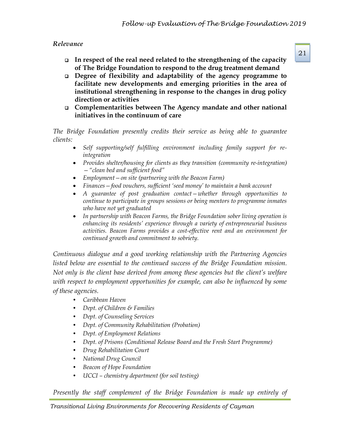### *Relevance*

- ❑ **In respect of the real need related to the strengthening of the capacity of The Bridge Foundation to respond to the drug treatment demand**
- ❑ **Degree of flexibility and adaptability of the agency programme to facilitate new developments and emerging priorities in the area of institutional strengthening in response to the changes in drug policy direction or activities**
- ❑ **Complementarities between The Agency mandate and other national initiatives in the continuum of care**

*The Bridge Foundation presently credits their service as being able to guarantee clients:*

- *Self supporting/self fulfilling environment including family support for reintegration*
- *Provides shelter/housing for clients as they transition (community re-integration) —"clean bed and sufficient food"*
- *Employment—on site (partnering with the Beacon Farm)*
- *Finances—food vouchers, sufficient 'seed money' to maintain a bank account*
- *A guarantee of post graduation contact—whether through opportunities to continue to participate in groups sessions or being mentors to programme inmates who have not yet graduated*
- *In partnership with Beacon Farms, the Bridge Foundation sober living operation is enhancing its residents' experience through a variety of entrepreneurial business activities. Beacon Farms provides a cost-effective rent and an environment for continued growth and commitment to sobriety.*

*Continuous dialogue and a good working relationship with the Partnering Agencies listed below are essential to the continued success of the Bridge Foundation mission. Not only is the client base derived from among these agencies but the client's welfare with respect to employment opportunities for example, can also be influenced by some of these agencies.*

- *Caribbean Haven*
- *Dept. of Children & Families*
- *Dept. of Counseling Services*
- *Dept. of Community Rehabilitation (Probation)*
- *Dept. of Employment Relations*
- *Dept. of Prisons (Conditional Release Board and the Fresh Start Programme)*
- *Drug Rehabilitation Court*
- *National Drug Council*
- *Beacon of Hope Foundation*
- *UCCI – chemistry department (for soil testing)*

*Presently the staff complement of the Bridge Foundation is made up entirely of*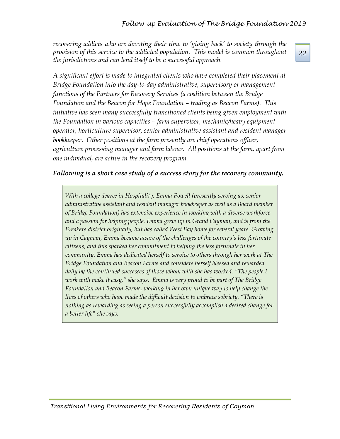*recovering addicts who are devoting their time to 'giving back' to society through the provision of this service to the addicted population. This model is common throughout the jurisdictions and can lend itself to be a successful approach.*

*A significant effort is made to integrated clients who have completed their placement at Bridge Foundation into the day-to-day administrative, supervisory or management functions of the Partners for Recovery Services (a coalition between the Bridge Foundation and the Beacon for Hope Foundation – trading as Beacon Farms). This initiative has seen many successfully transitioned clients being given employment with the Foundation in various capacities – farm supervisor, mechanic/heavy equipment operator, horticulture supervisor, senior administrative assistant and resident manager bookkeeper. Other positions at the farm presently are chief operations officer, agriculture processing manager and farm labour. All positions at the farm, apart from one individual, are active in the recovery program.*

#### *Following is a short case study of a success story for the recovery community.*

*With a college degree in Hospitality, Emma Powell (presently serving as, senior administrative assistant and resident manager bookkeeper as well as a Board member of Bridge Foundation) has extensive experience in working with a diverse workforce and a passion for helping people. Emma grew up in Grand Cayman, and is from the Breakers district originally, but has called West Bay home for several years. Growing up in Cayman, Emma became aware of the challenges of the country's less fortunate citizens, and this sparked her commitment to helping the less fortunate in her community. Emma has dedicated herself to service to others through her work at The Bridge Foundation and Beacon Farms and considers herself blessed and rewarded daily by the continued successes of those whom with she has worked. "The people I work with make it easy," she says. Emma is very proud to be part of The Bridge Foundation and Beacon Farms, working in her own unique way to help change the lives of others who have made the difficult decision to embrace sobriety. "There is nothing as rewarding as seeing a person successfully accomplish a desired change for a better life" she says.*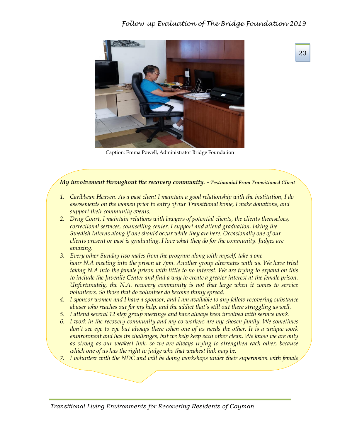

Caption: Emma Powell, Administrator Bridge Foundation

#### *My involvement throughout the recovery community. - Testimonial From Transitioned Client*

- *1. Caribbean Heaven. As a past client I maintain a good relationship with the institution, I do assessments on the women prior to entry of our Transitional home, I make donations, and support their community events.*
- *2. Drug Court, I maintain relations with lawyers of potential clients, the clients themselves, correctional services, counselling center. I support and attend graduation, taking the Swedish Interns along if one should occur while they are here. Occasionally one of our clients present or past is graduating. I love what they do for the community. Judges are amazing.*
- *3. Every other Sunday two males from the program along with myself, take a one hour N.A meeting into the prison at 7pm. Another group alternates with us. We have tried taking N.A into the female prison with little to no interest. We are trying to expand on this to include the Juvenile Center and find a way to create a greater interest at the female prison. Unfortunately, the N.A. recovery community is not that large when it comes to service volunteers. So those that do volunteer do become thinly spread.*
- *4. I sponsor women and I have a sponsor, and I am available to any fellow recovering substance abuser who reaches out for my help, and the addict that's still out there struggling as well.*
- *5. I attend several 12 step group meetings and have always been involved with service work.*
- *6. I work in the recovery community and my co-workers are my chosen family. We sometimes don't see eye to eye but always there when one of us needs the other. It is a unique work environment and has its challenges, but we help keep each other clean. We know we are only as strong as our weakest link, so we are always trying to strengthen each other, because which one of us has the right to judge who that weakest link may be.*
- *7. I volunteer with the NDC and will be doing workshops under their supervision with female*

*Transitional Living Environments for Recovering Residents of Cayman*

*students in the high schools soon.*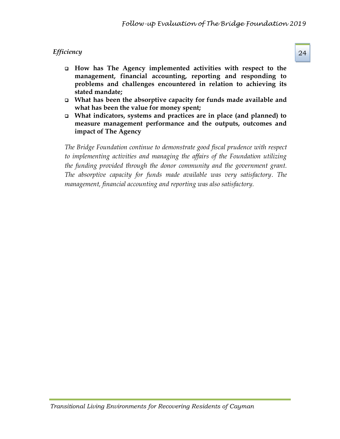# *Efficiency* 24

- ❑ **How has The Agency implemented activities with respect to the management, financial accounting, reporting and responding to problems and challenges encountered in relation to achieving its stated mandate;**
- ❑ **What has been the absorptive capacity for funds made available and what has been the value for money spent;**
- ❑ **What indicators, systems and practices are in place (and planned) to measure management performance and the outputs, outcomes and impact of The Agency**

*The Bridge Foundation continue to demonstrate good fiscal prudence with respect to implementing activities and managing the affairs of the Foundation utilizing the funding provided through the donor community and the government grant. The absorptive capacity for funds made available was very satisfactory. The management, financial accounting and reporting was also satisfactory.*

*Transitional Living Environments for Recovering Residents of Cayman*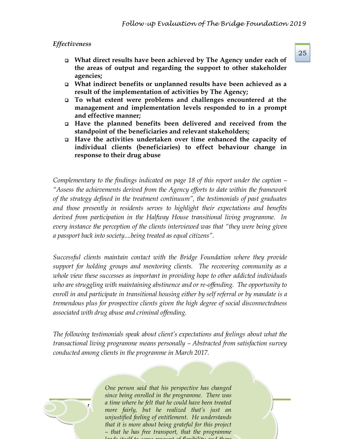#### *Effectiveness*

- ❑ **What direct results have been achieved by The Agency under each of the areas of output and regarding the support to other stakeholder agencies;**
- ❑ **What indirect benefits or unplanned results have been achieved as a result of the implementation of activities by The Agency;**
- ❑ **To what extent were problems and challenges encountered at the management and implementation levels responded to in a prompt and effective manner;**
- ❑ **Have the planned benefits been delivered and received from the standpoint of the beneficiaries and relevant stakeholders;**
- ❑ **Have the activities undertaken over time enhanced the capacity of individual clients (beneficiaries) to effect behaviour change in response to their drug abuse**

*Complementary to the findings indicated on page 18 of this report under the caption – "Assess the achievements derived from the Agency efforts to date within the framework of the strategy defined in the treatment continuum", the testimonials of past graduates and those presently in residents serves to highlight their expectations and benefits derived from participation in the Halfway House transitional living programme. In every instance the perception of the clients interviewed was that "they were being given a passport back into society....being treated as equal citizens".*

*Successful clients maintain contact with the Bridge Foundation where they provide support for holding groups and mentoring clients. The recovering community as a whole view these successes as important in providing hope to other addicted individuals who are struggling with maintaining abstinence and or re-offending. The opportunity to enroll in and participate in transitional housing either by self referral or by mandate is a tremendous plus for prospective clients given the high degree of social disconnectedness associated with drug abuse and criminal offending.*

*The following testimonials speak about client's expectations and feelings about what the transactional living programme means personally – Abstracted from satisfaction survey conducted among clients in the programme in March 2017.*



*Transferred Referred Residents for Recovering Residents of Cayman and Transferred Residents and Transferred Residents and Transferred Residents and Transferred Residents and Transferred Residents and Transferred Resident One person said that his perspective has changed since being enrolled in the programme. There was a time where he felt that he could have been treated unjustified feeling of entitlement. He understands that it is more about being grateful for this project – that he has free transport, that the programme lends itself to some amount of flexibility and there*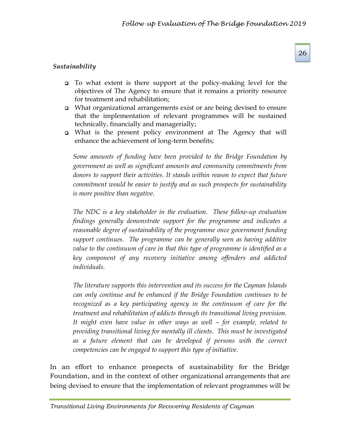# *Sustainability*

- ❑ To what extent is there support at the policy-making level for the objectives of The Agency to ensure that it remains a priority resource for treatment and rehabilitation;
- ❑ What organizational arrangements exist or are being devised to ensure that the implementation of relevant programmes will be sustained technically, financially and managerially;
- ❑ What is the present policy environment at The Agency that will enhance the achievement of long-term benefits;

*Some amounts of funding have been provided to the Bridge Foundation by government as well as significant amounts and community commitments from donors to support their activities. It stands within reason to expect that future commitment would be easier to justify and as such prospects for sustainability is more positive than negative.* 

*The NDC is a key stakeholder in the evaluation. These follow-up evaluation findings generally demonstrate support for the programme and indicates a reasonable degree of sustainability of the programme once government funding support continues. The programme can be generally seen as having additive value to the continuum of care in that this type of programme is identified as a key component of any recovery initiative among offenders and addicted individuals.*

*The literature supports this intervention and its success for the Cayman Islands can only continue and be enhanced if the Bridge Foundation continues to be recognized as a key participating agency in the continuum of care for the treatment and rehabilitation of addicts through its transitional living provision. It might even have value in other ways as well – for example, related to providing transitional living for mentally ill clients. This must be investigated as a future element that can be developed if persons with the correct competencies can be engaged to support this type of initiative.*

In an effort to enhance prospects of sustainability for the Bridge Foundation, and in the context of other organizational arrangements that are being devised to ensure that the implementation of relevant programmes will be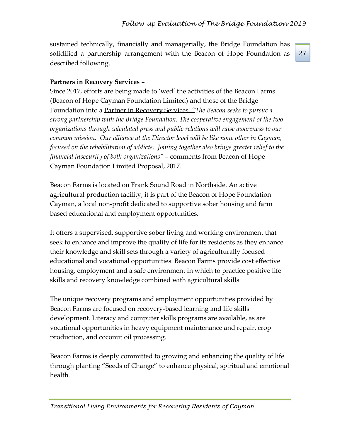sustained technically, financially and managerially, the Bridge Foundation has solidified a partnership arrangement with the Beacon of Hope Foundation as described following.

#### 27

# **Partners in Recovery Services –**

Since 2017, efforts are being made to 'wed' the activities of the Beacon Farms (Beacon of Hope Cayman Foundation Limited) and those of the Bridge Foundation into a Partner in Recovery Services. *"The Beacon seeks to pursue a strong partnership with the Bridge Foundation. The cooperative engagement of the two organizations through calculated press and public relations will raise awareness to our common mission. Our alliance at the Director level will be like none other in Cayman, focused on the rehabilitation of addicts. Joining together also brings greater relief to the financial insecurity of both organizations"* – comments from Beacon of Hope Cayman Foundation Limited Proposal, 2017.

Beacon Farms is located on Frank Sound Road in Northside. An active agricultural production facility, it is part of the Beacon of Hope Foundation Cayman, a local non-profit dedicated to supportive sober housing and farm based educational and employment opportunities.

It offers a supervised, supportive sober living and working environment that seek to enhance and improve the quality of life for its residents as they enhance their knowledge and skill sets through a variety of agriculturally focused educational and vocational opportunities. Beacon Farms provide cost effective housing, employment and a safe environment in which to practice positive life skills and recovery knowledge combined with agricultural skills.

The unique recovery programs and employment opportunities provided by Beacon Farms are focused on recovery-based learning and life skills development. Literacy and computer skills programs are available, as are vocational opportunities in heavy equipment maintenance and repair, crop production, and coconut oil processing.

Beacon Farms is deeply committed to growing and enhancing the quality of life through planting "Seeds of Change" to enhance physical, spiritual and emotional health.

*Transitional Living Environments for Recovering Residents of Cayman*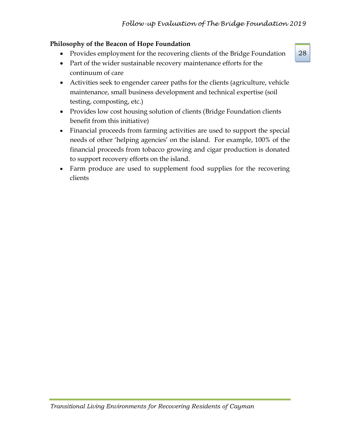# **Philosophy of the Beacon of Hope Foundation**

- Provides employment for the recovering clients of the Bridge Foundation
- Part of the wider sustainable recovery maintenance efforts for the continuum of care
- Activities seek to engender career paths for the clients (agriculture, vehicle maintenance, small business development and technical expertise (soil testing, composting, etc.)
- Provides low cost housing solution of clients (Bridge Foundation clients benefit from this initiative)
- Financial proceeds from farming activities are used to support the special needs of other 'helping agencies' on the island. For example, 100% of the financial proceeds from tobacco growing and cigar production is donated to support recovery efforts on the island.
- Farm produce are used to supplement food supplies for the recovering clients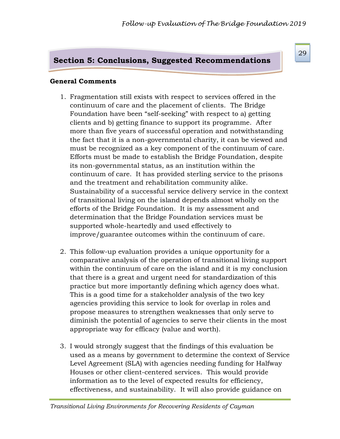# **Section 5: Conclusions, Suggested Recommendations**

#### **General Comments**

- 1. Fragmentation still exists with respect to services offered in the continuum of care and the placement of clients. The Bridge Foundation have been "self-seeking" with respect to a) getting clients and b) getting finance to support its programme. After more than five years of successful operation and notwithstanding the fact that it is a non-governmental charity, it can be viewed and must be recognized as a key component of the continuum of care. Efforts must be made to establish the Bridge Foundation, despite its non-governmental status, as an institution within the continuum of care. It has provided sterling service to the prisons and the treatment and rehabilitation community alike. Sustainability of a successful service delivery service in the context of transitional living on the island depends almost wholly on the efforts of the Bridge Foundation. It is my assessment and determination that the Bridge Foundation services must be supported whole-heartedly and used effectively to improve/guarantee outcomes within the continuum of care.
- 2. This follow-up evaluation provides a unique opportunity for a comparative analysis of the operation of transitional living support within the continuum of care on the island and it is my conclusion that there is a great and urgent need for standardization of this practice but more importantly defining which agency does what. This is a good time for a stakeholder analysis of the two key agencies providing this service to look for overlap in roles and propose measures to strengthen weaknesses that only serve to diminish the potential of agencies to serve their clients in the most appropriate way for efficacy (value and worth).
- 3. I would strongly suggest that the findings of this evaluation be used as a means by government to determine the context of Service Level Agreement (SLA) with agencies needing funding for Halfway Houses or other client-centered services. This would provide information as to the level of expected results for efficiency, effectiveness, and sustainability. It will also provide guidance on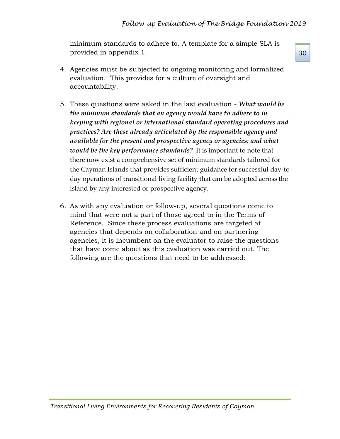minimum standards to adhere to. A template for a simple SLA is provided in appendix 1.

- 4. Agencies must be subjected to ongoing monitoring and formalized evaluation. This provides for a culture of oversight and accountability.
- 5. These questions were asked in the last evaluation *What would be the minimum standards that an agency would have to adhere to in keeping with regional or international standard operating procedures and practices? Are these already articulated by the responsible agency and available for the present and prospective agency or agencies; and what would be the key performance standards?* It is important to note that there now exist a comprehensive set of minimum standards tailored for the Cayman Islands that provides sufficient guidance for successful day-to day operations of transitional living facility that can be adopted across the island by any interested or prospective agency.
- 6. As with any evaluation or follow-up, several questions come to mind that were not a part of those agreed to in the Terms of Reference. Since these process evaluations are targeted at agencies that depends on collaboration and on partnering agencies, it is incumbent on the evaluator to raise the questions that have come about as this evaluation was carried out. The following are the questions that need to be addressed: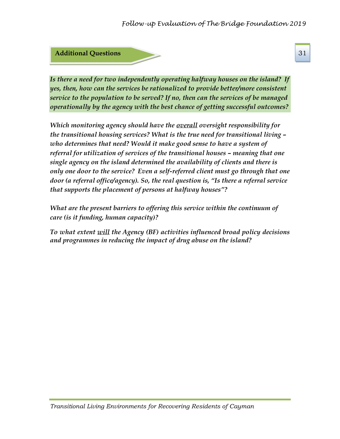

*Is there a need for two independently operating halfway houses on the island? If yes, then, how can the services be rationalized to provide better/more consistent service to the population to be served? If no, then can the services of be managed operationally by the agency with the best chance of getting successful outcomes?*

*Which monitoring agency should have the overall oversight responsibility for the transitional housing services? What is the true need for transitional living – who determines that need? Would it make good sense to have a system of referral for utilization of services of the transitional houses – meaning that one single agency on the island determined the availability of clients and there is only one door to the service? Even a self-referred client must go through that one door (a referral office/agency). So, the real question is, "Is there a referral service that supports the placement of persons at halfway houses"?*

*What are the present barriers to offering this service within the continuum of care (is it funding, human capacity)?*

*To what extent will the Agency (BF) activities influenced broad policy decisions and programmes in reducing the impact of drug abuse on the island?*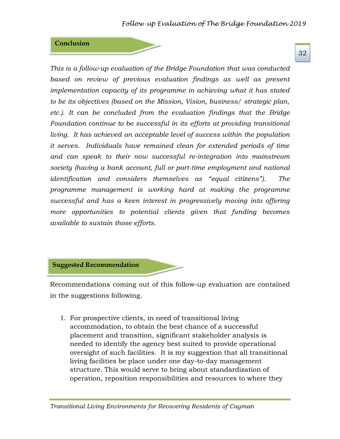#### **Conclusion**

*This is a follow-up evaluation of the Bridge Foundation that was conducted*  based on review of previous evaluation findings as well as present *implementation capacity of its programme in achieving what it has stated to be its objectives (based on the Mission, Vision, business/ strategic plan, etc.). It can be concluded from the evaluation findings that the Bridge Foundation continue to be successful in its efforts at providing transitional living. It has achieved an acceptable level of success within the population it serves. Individuals have remained clean for extended periods of time and can speak to their now successful re-integration into mainstream society (having a bank account, full or part-time employment and national identification and considers themselves as "equal citizens"). The programme management is working hard at making the programme successful and has a keen interest in progressively moving into offering more opportunities to potential clients given that funding becomes available to sustain those efforts.* 

#### **Suggested Recommendation**

Recommendations coming out of this follow-up evaluation are contained in the suggestions following.

1. For prospective clients, in need of transitional living accommodation, to obtain the best chance of a successful placement and transition, significant stakeholder analysis is needed to identify the agency best suited to provide operational oversight of such facilities. It is my suggestion that all transitional living facilities be place under one day-to-day management structure. This would serve to bring about standardization of operation, reposition responsibilities and resources to where they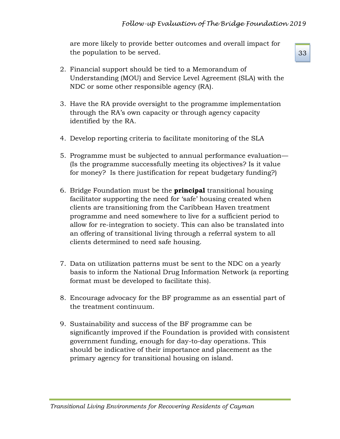are more likely to provide better outcomes and overall impact for the population to be served.

- 2. Financial support should be tied to a Memorandum of Understanding (MOU) and Service Level Agreement (SLA) with the NDC or some other responsible agency (RA).
- 3. Have the RA provide oversight to the programme implementation through the RA's own capacity or through agency capacity identified by the RA.
- 4. Develop reporting criteria to facilitate monitoring of the SLA
- 5. Programme must be subjected to annual performance evaluation— (Is the programme successfully meeting its objectives? Is it value for money? Is there justification for repeat budgetary funding?)
- 6. Bridge Foundation must be the **principal** transitional housing facilitator supporting the need for 'safe' housing created when clients are transitioning from the Caribbean Haven treatment programme and need somewhere to live for a sufficient period to allow for re-integration to society. This can also be translated into an offering of transitional living through a referral system to all clients determined to need safe housing.
- 7. Data on utilization patterns must be sent to the NDC on a yearly basis to inform the National Drug Information Network (a reporting format must be developed to facilitate this).
- 8. Encourage advocacy for the BF programme as an essential part of the treatment continuum.
- 9. Sustainability and success of the BF programme can be significantly improved if the Foundation is provided with consistent government funding, enough for day-to-day operations. This should be indicative of their importance and placement as the primary agency for transitional housing on island.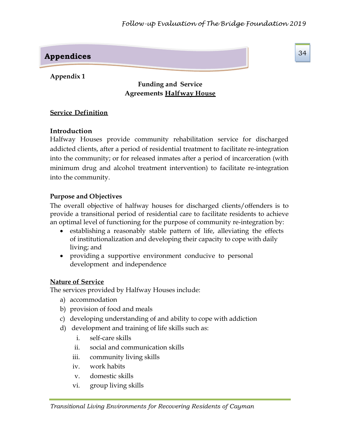# **Appendices**

### **Appendix 1**

# **Funding and Service Agreements Halfway House**

#### **Service Definition**

## **Introduction**

Halfway Houses provide community rehabilitation service for discharged addicted clients, after a period of residential treatment to facilitate re-integration into the community; or for released inmates after a period of incarceration (with minimum drug and alcohol treatment intervention) to facilitate re-integration into the community.

## **Purpose and Objectives**

The overall objective of halfway houses for discharged clients/offenders is to provide a transitional period of residential care to facilitate residents to achieve an optimal level of functioning for the purpose of community re-integration by:

- establishing a reasonably stable pattern of life, alleviating the effects of institutionalization and developing their capacity to cope with daily living; and
- providing a supportive environment conducive to personal development and independence

#### **Nature of Service**

The services provided by Halfway Houses include:

- a) accommodation
- b) provision of food and meals
- c) developing understanding of and ability to cope with addiction
- d) development and training of life skills such as:
	- i. self-care skills
	- ii. social and communication skills
	- iii. community living skills
	- iv. work habits
	- v. domestic skills
	- vi. group living skills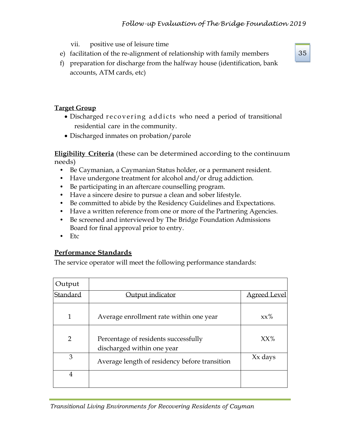- vii. positive use of leisure time
- e) facilitation of the re-alignment of relationship with family members
- f) preparation for discharge from the halfway house (identification, bank accounts, ATM cards, etc)

# **Target Group**

- Discharged recovering addicts who need a period of transitional residential care in the community.
- Discharged inmates on probation/parole

**Eligibility Criteria** (these can be determined according to the continuum needs)

- Be Caymanian, a Caymanian Status holder, or a permanent resident.
- Have undergone treatment for alcohol and/or drug addiction.
- Be participating in an aftercare counselling program.
- Have a sincere desire to pursue a clean and sober lifestyle.
- Be committed to abide by the Residency Guidelines and Expectations.
- Have a written reference from one or more of the Partnering Agencies.
- Be screened and interviewed by The Bridge Foundation Admissions Board for final approval prior to entry.
- Etc

# **Performance Standards**

The service operator will meet the following performance standards:

| Output         |                                                                    |                     |
|----------------|--------------------------------------------------------------------|---------------------|
| Standard       | Output indicator                                                   | <b>Agreed Level</b> |
| 1              | Average enrollment rate within one year                            | $xx\%$              |
| $\overline{2}$ | Percentage of residents successfully<br>discharged within one year | $XX\%$              |
| 3              | Average length of residency before transition                      | Xx days             |
| 4              |                                                                    |                     |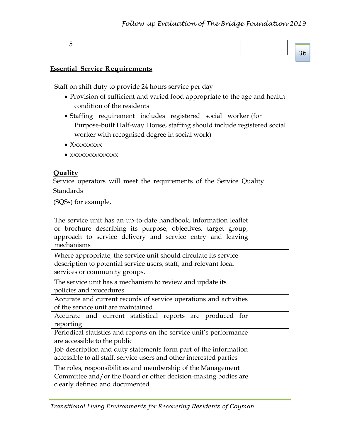#### **Essential Service Requirements**

Staff on shift duty to provide 24 hours service per day

- Provision of sufficient and varied food appropriate to the age and health condition of the residents
- Staffing requirement includes registered social worker (for Purpose-built Half-way House, staffing should include registered social worker with recognised degree in social work)
- Xxxxxxxx
- $\bullet$  xxxxxxxxxxxxx

#### **Quality**

Service operators will meet the requirements of the Service Quality **Standards** 

(SQSs) for example,

| The service unit has an up-to-date handbook, information leaflet<br>or brochure describing its purpose, objectives, target group,<br>approach to service delivery and service entry and leaving<br>mechanisms |  |
|---------------------------------------------------------------------------------------------------------------------------------------------------------------------------------------------------------------|--|
| Where appropriate, the service unit should circulate its service<br>description to potential service users, staff, and relevant local<br>services or community groups.                                        |  |
| The service unit has a mechanism to review and update its<br>policies and procedures                                                                                                                          |  |
| Accurate and current records of service operations and activities<br>of the service unit are maintained                                                                                                       |  |
| Accurate and current statistical reports are produced for<br>reporting                                                                                                                                        |  |
| Periodical statistics and reports on the service unit's performance<br>are accessible to the public                                                                                                           |  |
| Job description and duty statements form part of the information<br>accessible to all staff, service users and other interested parties                                                                       |  |
| The roles, responsibilities and membership of the Management<br>Committee and/or the Board or other decision-making bodies are<br>clearly defined and documented                                              |  |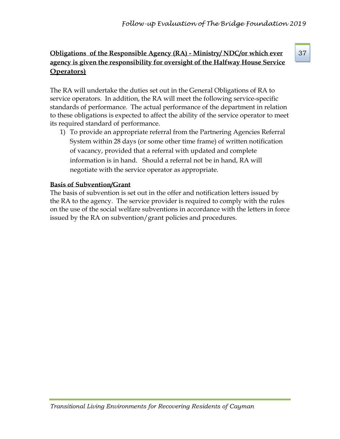# **Obligations of the Responsible Agency (RA) - Ministry/ NDC/or which ever** 37 **agency is given the responsibility for oversight of the Halfway House Service Operators)**

The RA will undertake the duties set out in the General Obligations of RA to service operators. In addition, the RA will meet the following service-specific standards of performance. The actual performance of the department in relation to these obligations is expected to affect the ability of the service operator to meet its required standard of performance.

1) To provide an appropriate referral from the Partnering Agencies Referral System within 28 days (or some other time frame) of written notification of vacancy, provided that a referral with updated and complete information is in hand. Should a referral not be in hand, RA will negotiate with the service operator as appropriate.

# **Basis of Subvention/Grant**

The basis of subvention is set out in the offer and notification letters issued by the RA to the agency. The service provider is required to comply with the rules on the use of the social welfare subventions in accordance with the letters in force issued by the RA on subvention/grant policies and procedures.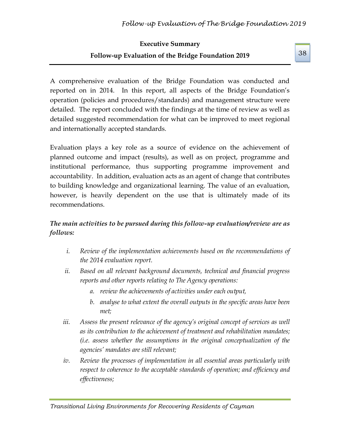# **Executive Summary Follow-up Evaluation of the Bridge Foundation 2019**

A comprehensive evaluation of the Bridge Foundation was conducted and reported on in 2014. In this report, all aspects of the Bridge Foundation's operation (policies and procedures/standards) and management structure were detailed. The report concluded with the findings at the time of review as well as detailed suggested recommendation for what can be improved to meet regional and internationally accepted standards.

Evaluation plays a key role as a source of evidence on the achievement of planned outcome and impact (results), as well as on project, programme and institutional performance, thus supporting programme improvement and accountability. In addition, evaluation acts as an agent of change that contributes to building knowledge and organizational learning. The value of an evaluation, however, is heavily dependent on the use that is ultimately made of its recommendations.

# *The main activities to be pursued during this follow-up evaluation/review are as follows:*

- *i. Review of the implementation achievements based on the recommendations of the 2014 evaluation report.*
- *ii. Based on all relevant background documents, technical and financial progress reports and other reports relating to The Agency operations:*
	- *a. review the achievements of activities under each output,*
	- *b. analyse to what extent the overall outputs in the specific areas have been met;*
- iii. Assess the present relevance of the agency's original concept of services as well *as its contribution to the achievement of treatment and rehabilitation mandates; (i.e. assess whether the assumptions in the original conceptualization of the agencies' mandates are still relevant;*
- *iv. Review the processes of implementation in all essential areas particularly with respect to coherence to the acceptable standards of operation; and efficiency and effectiveness;*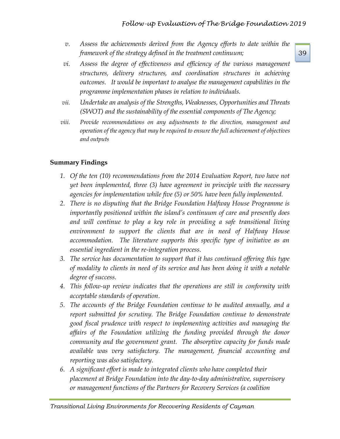- *v. Assess the achievements derived from the Agency efforts to date within the framework of the strategy defined in the treatment continuum;*
- *vi. Assess the degree of effectiveness and efficiency of the various management structures, delivery structures, and coordination structures in achieving outcomes. It would be important to analyse the management capabilities in the programme implementation phases in relation to individuals.*
- *vii. Undertake an analysis of the Strengths, Weaknesses, Opportunities and Threats (SWOT) and the sustainability of the essential components of The Agency;*
- *viii. Provide recommendations on any adjustments to the direction, management and operation of the agency that may be required to ensure the full achievement of objectives and outputs*

# **Summary Findings**

- **1.** Of the ten (10) recommendations from the 2014 Evaluation Report, two have not *yet been implemented, three (3) have agreement in principle with the necessary agencies for implementation while five (5) or 50% have been fully implemented.*
- *2. There is no disputing that the Bridge Foundation Halfway House Programme is importantly positioned within the island's continuum of care and presently does and will continue to play a key role in providing a safe transitional living environment to support the clients that are in need of Halfway House accommodation. The literature supports this specific type of initiative as an essential ingredient in the re-integration process.*
- *3. The service has documentation to support that it has continued offering this type of modality to clients in need of its service and has been doing it with a notable degree of success.*
- *4. This follow-up review indicates that the operations are still in conformity with acceptable standards of operation*.
- *5. The accounts of the Bridge Foundation continue to be audited annually, and a report submitted for scrutiny. The Bridge Foundation continue to demonstrate good fiscal prudence with respect to implementing activities and managing the affairs of the Foundation utilizing the funding provided through the donor community and the government grant. The absorptive capacity for funds made available was very satisfactory. The management, financial accounting and reporting was also satisfactory.*
- *6. A significant effort is made to integrated clients who have completed their placement at Bridge Foundation into the day-to-day administrative, supervisory or management functions of the Partners for Recovery Services (a coalition*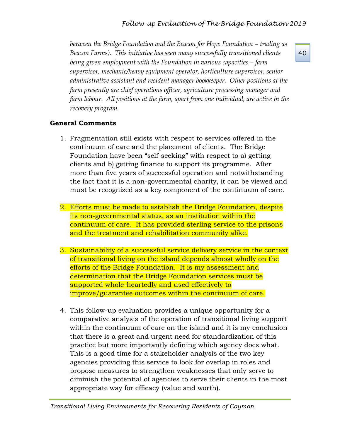*between the Bridge Foundation and the Beacon for Hope Foundation – trading as Beacon Farms). This initiative has seen many successfully transitioned clients being given employment with the Foundation in various capacities – farm supervisor, mechanic/heavy equipment operator, horticulture supervisor, senior administrative assistant and resident manager bookkeeper. Other positions at the farm presently are chief operations officer, agriculture processing manager and farm labour. All positions at the farm, apart from one individual, are active in the recovery program.*

# **General Comments**

- 1. Fragmentation still exists with respect to services offered in the continuum of care and the placement of clients. The Bridge Foundation have been "self-seeking" with respect to a) getting clients and b) getting finance to support its programme. After more than five years of successful operation and notwithstanding the fact that it is a non-governmental charity, it can be viewed and must be recognized as a key component of the continuum of care.
- 2. Efforts must be made to establish the Bridge Foundation, despite its non-governmental status, as an institution within the continuum of care. It has provided sterling service to the prisons and the treatment and rehabilitation community alike.
- 3. Sustainability of a successful service delivery service in the context of transitional living on the island depends almost wholly on the efforts of the Bridge Foundation. It is my assessment and determination that the Bridge Foundation services must be supported whole-heartedly and used effectively to improve/guarantee outcomes within the continuum of care.
- 4. This follow-up evaluation provides a unique opportunity for a comparative analysis of the operation of transitional living support within the continuum of care on the island and it is my conclusion that there is a great and urgent need for standardization of this practice but more importantly defining which agency does what. This is a good time for a stakeholder analysis of the two key agencies providing this service to look for overlap in roles and propose measures to strengthen weaknesses that only serve to diminish the potential of agencies to serve their clients in the most appropriate way for efficacy (value and worth).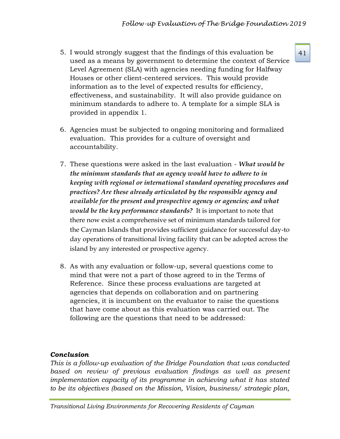- 5. I would strongly suggest that the findings of this evaluation be  $41$ used as a means by government to determine the context of Service Level Agreement (SLA) with agencies needing funding for Halfway Houses or other client-centered services. This would provide information as to the level of expected results for efficiency, effectiveness, and sustainability. It will also provide guidance on minimum standards to adhere to. A template for a simple SLA is provided in appendix 1.
- 6. Agencies must be subjected to ongoing monitoring and formalized evaluation. This provides for a culture of oversight and accountability.
- 7. These questions were asked in the last evaluation *What would be the minimum standards that an agency would have to adhere to in keeping with regional or international standard operating procedures and practices? Are these already articulated by the responsible agency and available for the present and prospective agency or agencies; and what would be the key performance standards?* It is important to note that there now exist a comprehensive set of minimum standards tailored for the Cayman Islands that provides sufficient guidance for successful day-to day operations of transitional living facility that can be adopted across the island by any interested or prospective agency.
- 8. As with any evaluation or follow-up, several questions come to mind that were not a part of those agreed to in the Terms of Reference. Since these process evaluations are targeted at agencies that depends on collaboration and on partnering agencies, it is incumbent on the evaluator to raise the questions that have come about as this evaluation was carried out. The following are the questions that need to be addressed:

# *Conclusion*

*This is a follow-up evaluation of the Bridge Foundation that was conducted*  based on review of previous evaluation findings as well as present *implementation capacity of its programme in achieving what it has stated to be its objectives (based on the Mission, Vision, business/ strategic plan,*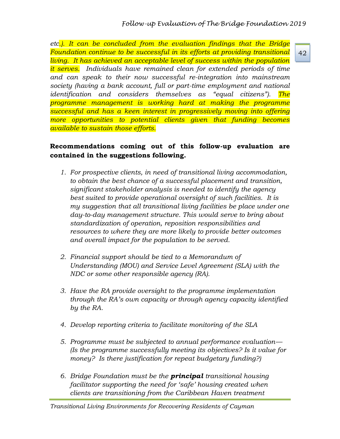*etc.). It can be concluded from the evaluation findings that the Bridge Foundation continue to be successful in its efforts at providing transitional living. It has achieved an acceptable level of success within the population it serves. Individuals have remained clean for extended periods of time and can speak to their now successful re-integration into mainstream society (having a bank account, full or part-time employment and national identification and considers themselves as "equal citizens"). The programme management is working hard at making the programme successful and has a keen interest in progressively moving into offering more opportunities to potential clients given that funding becomes available to sustain those efforts.* 

# **Recommendations coming out of this follow-up evaluation are contained in the suggestions following.**

- *1. For prospective clients, in need of transitional living accommodation, to obtain the best chance of a successful placement and transition, significant stakeholder analysis is needed to identify the agency best suited to provide operational oversight of such facilities. It is my suggestion that all transitional living facilities be place under one day-to-day management structure. This would serve to bring about standardization of operation, reposition responsibilities and resources to where they are more likely to provide better outcomes and overall impact for the population to be served.*
- *2. Financial support should be tied to a Memorandum of Understanding (MOU) and Service Level Agreement (SLA) with the NDC or some other responsible agency (RA).*
- *3. Have the RA provide oversight to the programme implementation through the RA's own capacity or through agency capacity identified by the RA.*
- *4. Develop reporting criteria to facilitate monitoring of the SLA*
- *5. Programme must be subjected to annual performance evaluation— (Is the programme successfully meeting its objectives? Is it value for money? Is there justification for repeat budgetary funding?)*
- *6. Bridge Foundation must be the principal transitional housing facilitator supporting the need for 'safe' housing created when clients are transitioning from the Caribbean Haven treatment*